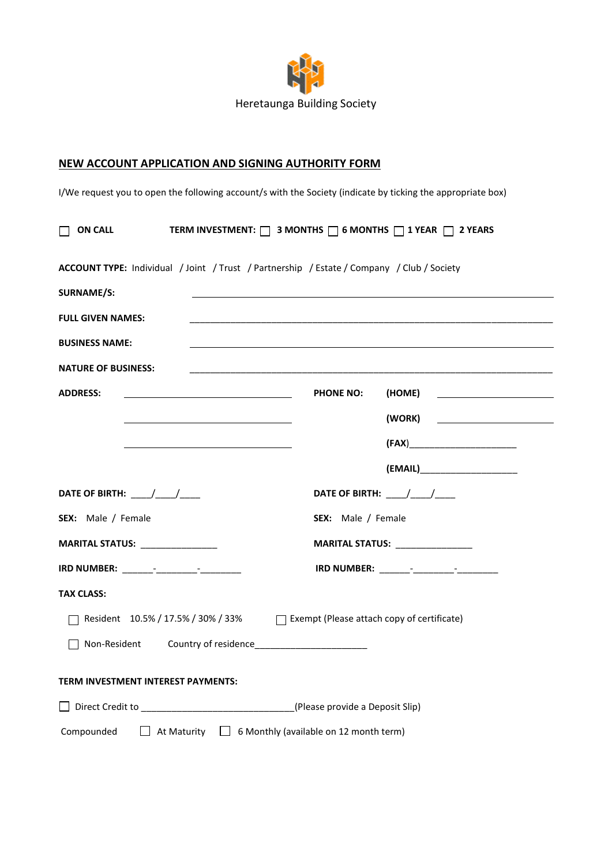

## **NEW ACCOUNT APPLICATION AND SIGNING AUTHORITY FORM**

I/We request you to open the following account/s with the Society (indicate by ticking the appropriate box)

| TERM INVESTMENT: $\Box$ 3 MONTHS $\Box$ 6 MONTHS $\Box$ 1 YEAR $\Box$ 2 YEARS<br>$\Box$ ON CALL                                          |                    |                                                     |
|------------------------------------------------------------------------------------------------------------------------------------------|--------------------|-----------------------------------------------------|
| ACCOUNT TYPE: Individual / Joint / Trust / Partnership / Estate / Company / Club / Society                                               |                    |                                                     |
| <b>SURNAME/S:</b>                                                                                                                        |                    |                                                     |
| <b>FULL GIVEN NAMES:</b>                                                                                                                 |                    |                                                     |
| <b>BUSINESS NAME:</b>                                                                                                                    |                    |                                                     |
| <b>NATURE OF BUSINESS:</b>                                                                                                               |                    |                                                     |
| <b>ADDRESS:</b><br><u> 1989 - Johann Barbara, martin amerikan basar dan basa dan basa dan basa dalam basa dalam basa dalam basa dala</u> | <b>PHONE NO:</b>   |                                                     |
|                                                                                                                                          |                    | (WORK)<br><u> 1989 - Johann Stoff, fransk konge</u> |
|                                                                                                                                          |                    |                                                     |
|                                                                                                                                          |                    |                                                     |
| DATE OF BIRTH: ____/____/____                                                                                                            |                    | DATE OF BIRTH: ____/____/____                       |
| SEX: Male / Female                                                                                                                       | SEX: Male / Female |                                                     |
| MARITAL STATUS: _______________                                                                                                          |                    | MARITAL STATUS: _______________                     |
|                                                                                                                                          |                    |                                                     |
| <b>TAX CLASS:</b>                                                                                                                        |                    |                                                     |
| □ Resident 10.5% / 17.5% / 30% / 33% □ Exempt (Please attach copy of certificate)                                                        |                    |                                                     |
|                                                                                                                                          |                    |                                                     |
| TERM INVESTMENT INTEREST PAYMENTS:                                                                                                       |                    |                                                     |
| □ Direct Credit to _________________________________(Please provide a Deposit Slip)                                                      |                    |                                                     |
| $\Box$ At Maturity $\Box$ 6 Monthly (available on 12 month term)<br>Compounded                                                           |                    |                                                     |